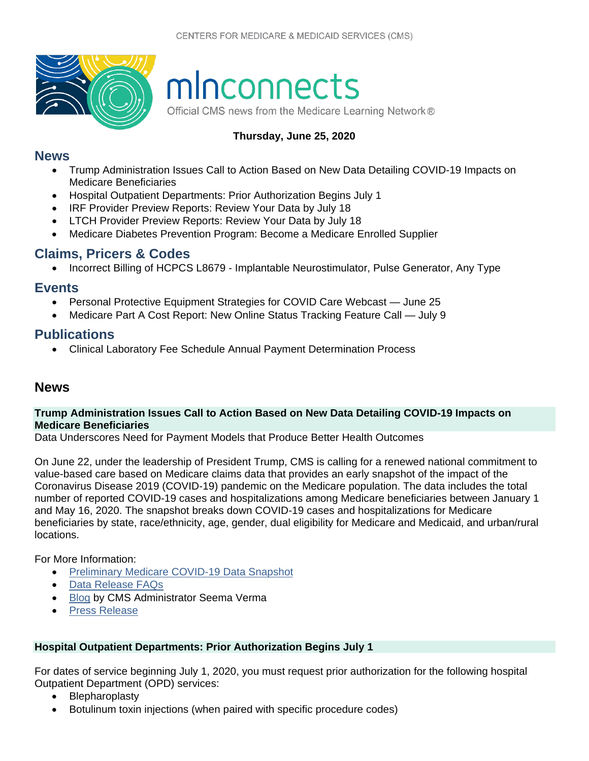

# minconnects

Official CMS news from the Medicare Learning Network®

### **Thursday, June 25, 2020**

#### **[News](#page-0-0)**

- [Trump Administration Issues Call to Action Based on New Data Detailing COVID-19 Impacts on](#page-0-1)  [Medicare Beneficiaries](#page-0-1)
- [Hospital Outpatient Departments: Prior Authorization Begins July 1](#page-0-2)
- [IRF Provider Preview Reports: Review Your Data by July 18](#page-1-0)
- LTCH Provider Preview [Reports: Review Your Data by July 18](#page-1-1)
- [Medicare Diabetes Prevention Program: Become a Medicare Enrolled Supplier](#page-1-2)

## **[Claims, Pricers & Codes](#page-2-0)**

• [Incorrect Billing of HCPCS L8679 - Implantable Neurostimulator, Pulse Generator, Any Type](#page-2-1)

## **[Events](#page-2-2)**

- [Personal Protective Equipment Strategies for COVID Care Webcast June 25](#page-2-3)
- [Medicare Part A Cost Report: New Online Status Tracking Feature Call July 9](#page-2-4)

# **[Publications](#page-3-0)**

• [Clinical Laboratory Fee Schedule Annual Payment Determination Process](#page-3-1)

# <span id="page-0-0"></span>**News**

#### <span id="page-0-1"></span>**Trump Administration Issues Call to Action Based on New Data Detailing COVID-19 Impacts on Medicare Beneficiaries**

Data Underscores Need for Payment Models that Produce Better Health Outcomes

On June 22, under the leadership of President Trump, CMS is calling for a renewed national commitment to value-based care based on Medicare claims data that provides an early snapshot of the impact of the Coronavirus Disease 2019 (COVID-19) pandemic on the Medicare population. The data includes the total number of reported COVID-19 cases and hospitalizations among Medicare beneficiaries between January 1 and May 16, 2020. The snapshot breaks down COVID-19 cases and hospitalizations for Medicare beneficiaries by state, race/ethnicity, age, gender, dual eligibility for Medicare and Medicaid, and urban/rural locations.

For More Information:

- [Preliminary Medicare COVID-19 Data Snapshot](https://www.cms.gov/research-statistics-data-systems/preliminary-medicare-covid-19-data-snapshot)
- [Data Release FAQs](https://www.cms.gov/files/document/medicare-covid-19-data-snapshot-faqs.pdf)
- **[Blog](https://www.cms.gov/blog/medicare-covid-19-data-release-blog) by CMS Administrator Seema Verma**
- [Press Release](https://www.cms.gov/newsroom/press-releases/trump-administration-issues-call-action-based-new-data-detailing-covid-19-impacts-medicare)

#### <span id="page-0-2"></span>**Hospital Outpatient Departments: Prior Authorization Begins July 1**

For dates of service beginning July 1, 2020, you must request prior authorization for the following hospital Outpatient Department (OPD) services:

- Blepharoplasty
- Botulinum toxin injections (when paired with specific procedure codes)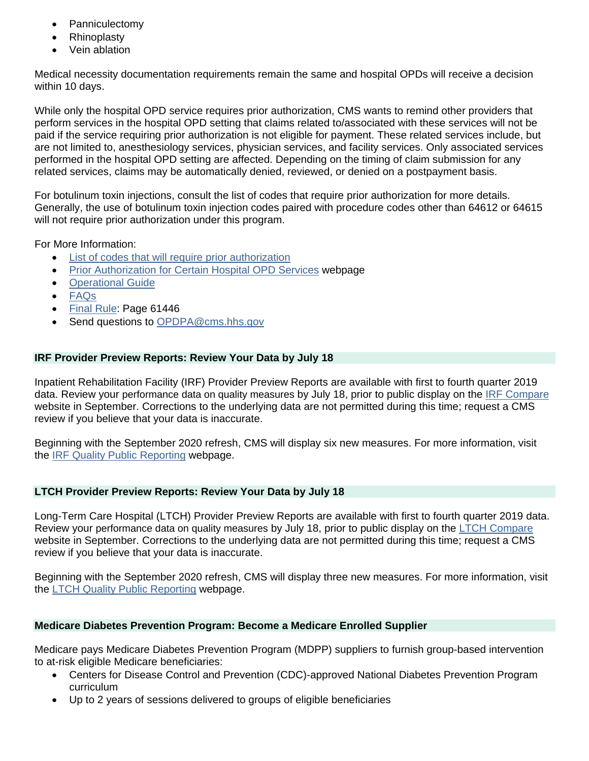- **Panniculectomy**
- **Rhinoplasty**
- Vein ablation

Medical necessity documentation requirements remain the same and hospital OPDs will receive a decision within 10 days.

While only the hospital OPD service requires prior authorization, CMS wants to remind other providers that perform services in the hospital OPD setting that claims related to/associated with these services will not be paid if the service requiring prior authorization is not eligible for payment. These related services include, but are not limited to, anesthesiology services, physician services, and facility services. Only associated services performed in the hospital OPD setting are affected. Depending on the timing of claim submission for any related services, claims may be automatically denied, reviewed, or denied on a postpayment basis.

For botulinum toxin injections, consult the list of codes that require prior authorization for more details. Generally, the use of botulinum toxin injection codes paired with procedure codes other than 64612 or 64615 will not require prior authorization under this program.

For More Information:

- [List of codes that will require prior authorization](https://www.cms.gov/files/document/cpi-opps-pa-list-services.pdf)
- [Prior Authorization for Certain Hospital OPD](https://www.cms.gov/research-statistics-data-systems/medicare-fee-service-compliance-programs/prior-authorization-and-pre-claim-review-initiatives/prior-authorization-certain-hospital-outpatient-department-opd-services) Services webpage
- [Operational Guide](https://www.cms.gov/files/document/opd-operational-guide.pdf)
- [FAQs](https://www.cms.gov/files/document/opd-frequently-asked-questions.pdf)
- [Final Rule:](https://www.govinfo.gov/content/pkg/FR-2019-11-12/pdf/2019-24138.pdf) Page 61446
- Send questions to [OPDPA@cms.hhs.gov](mailto:OPDPA@cms.hhs.gov)

#### <span id="page-1-0"></span>**IRF Provider Preview Reports: Review Your Data by July 18**

Inpatient Rehabilitation Facility (IRF) Provider Preview Reports are available with first to fourth quarter 2019 data. Review your performance data on quality measures by July 18, prior to public display on the [IRF Compare](https://www.medicare.gov/inpatientrehabilitationfacilitycompare/) website in September. Corrections to the underlying data are not permitted during this time; request a CMS review if you believe that your data is inaccurate.

Beginning with the September 2020 refresh, CMS will display six new measures. For more information, visit the [IRF Quality Public Reporting](https://www.cms.gov/Medicare/Quality-Initiatives-Patient-Assessment-Instruments/IRF-Quality-Reporting/IRF-Quality-Public-Reporting.html) webpage.

#### <span id="page-1-1"></span>**LTCH Provider Preview Reports: Review Your Data by July 18**

Long-Term Care Hospital (LTCH) Provider Preview Reports are available with first to fourth quarter 2019 data. Review your performance data on quality measures by July 18, prior to public display on the [LTCH Compare](https://www.medicare.gov/longtermcarehospitalcompare/) website in September. Corrections to the underlying data are not permitted during this time; request a CMS review if you believe that your data is inaccurate.

Beginning with the September 2020 refresh, CMS will display three new measures. For more information, visit the [LTCH Quality Public Reporting](https://www.cms.gov/Medicare/Quality-Initiatives-Patient-Assessment-Instruments/LTCH-Quality-Reporting/LTCH-Quality-Public-Reporting.html) webpage.

#### <span id="page-1-2"></span>**Medicare Diabetes Prevention Program: Become a Medicare Enrolled Supplier**

Medicare pays Medicare Diabetes Prevention Program (MDPP) suppliers to furnish group-based intervention to at-risk eligible Medicare beneficiaries:

- Centers for Disease Control and Prevention (CDC)-approved National Diabetes Prevention Program curriculum
- Up to 2 years of sessions delivered to groups of eligible beneficiaries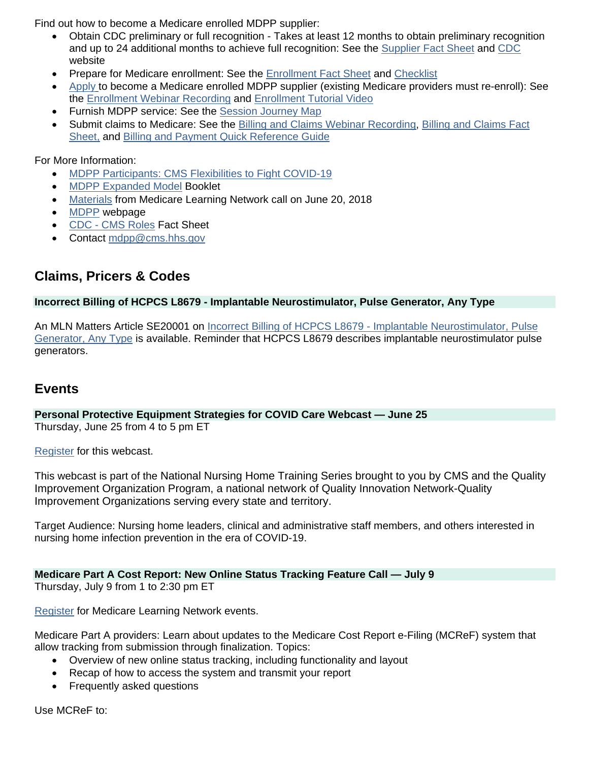Find out how to become a Medicare enrolled MDPP supplier:

- Obtain CDC preliminary or full recognition Takes at least 12 months to obtain preliminary recognition and up to 24 additional months to achieve full recognition: See the [Supplier Fact Sheet](https://innovation.cms.gov/Files/fact-sheet/mdpp-101-fs.pdf) and [CDC](https://www.cdc.gov/diabetes/prevention/index.html) website
- Prepare for Medicare enrollment: See the [Enrollment Fact Sheet](https://innovation.cms.gov/Files/x/mdpp-enrollmentfs.pdf) and [Checklist](https://innovation.cms.gov/Files/x/mdpp-enrollmentcl.pdf)
- [Apply](https://www.cms.gov/Medicare/CMS-Forms/CMS-Forms/Downloads/CMS20134.pdf) to become a Medicare enrolled MDPP supplier (existing Medicare providers must re-enroll): See the [Enrollment Webinar Recording](https://innovation.cms.gov/resources/mdpp-enrollmenttutorial.html) and [Enrollment Tutorial Video](https://youtu.be/S6FAJOLPsMo)
- Furnish MDPP service: See the [Session Journey Map](https://innovation.cms.gov/Files/x/mdpp-journeymap.pdf)
- Submit claims to Medicare: See the [Billing and Claims Webinar Recording,](https://innovation.cms.gov/resources/mdpp-billing-claims-overview.html) [Billing and Claims Fact](https://innovation.cms.gov/Files/fact-sheet/mdpp-billingclaims-fs.pdf)  [Sheet,](https://innovation.cms.gov/Files/fact-sheet/mdpp-billingclaims-fs.pdf) and [Billing and Payment Quick Reference Guide](https://innovation.cms.gov/Files/x/mdpp-billingpayment-refguide.pdf)

For More Information:

- [MDPP Participants: CMS Flexibilities to Fight COVID-19](https://www.cms.gov/files/document/covid-medicare-diabetes-prevention-program.pdf)
- [MDPP Expanded Model](https://www.cms.gov/Outreach-and-Education/Medicare-Learning-Network-MLN/MLNProducts/Downloads/MDPP-MLN34893002.pdf) Booklet
- [Materials](https://www.cms.gov/Outreach-and-Education/Outreach/NPC/National-Provider-Calls-and-Events-Items/2018-06-20-MDPP.html?DLPage=1&DLEntries=10&DLSort=0&DLSortDir=descending) from Medicare Learning Network call on June 20, 2018
- [MDPP](https://innovation.cms.gov/initiatives/medicare-diabetes-prevention-program/) webpage
- [CDC CMS Roles](https://innovation.cms.gov/Files/fact-sheet/CMS-CDC-Roles-Fact-Sheet.pdf) Fact Sheet
- Contact [mdpp@cms.hhs.gov](mailto:mdpp@cms.hhs.gov)

# <span id="page-2-0"></span>**Claims, Pricers & Codes**

#### <span id="page-2-1"></span>**Incorrect Billing of HCPCS L8679 - Implantable Neurostimulator, Pulse Generator, Any Type**

An MLN Matters Article SE20001 on [Incorrect Billing of HCPCS L8679 - Implantable Neurostimulator, Pulse](https://www.cms.gov/files/document/se20001.pdf)  [Generator, Any Type](https://www.cms.gov/files/document/se20001.pdf) is available. Reminder that HCPCS L8679 describes implantable neurostimulator pulse generators.

# <span id="page-2-2"></span>**Events**

<span id="page-2-3"></span>**Personal Protective Equipment Strategies for COVID Care Webcast — June 25** Thursday, June 25 from 4 to 5 pm ET

[Register](https://conference.webcasts.com/starthere.jsp?ei=1332690&tp_key=4804939c98) for this webcast.

This webcast is part of the National Nursing Home Training Series brought to you by CMS and the Quality Improvement Organization Program, a national network of Quality Innovation Network-Quality Improvement Organizations serving every state and territory.

Target Audience: Nursing home leaders, clinical and administrative staff members, and others interested in nursing home infection prevention in the era of COVID-19.

#### <span id="page-2-4"></span>**Medicare Part A Cost Report: New Online Status Tracking Feature Call — July 9**

Thursday, July 9 from 1 to 2:30 pm ET

[Register](https://blh.ier.intercall.com/) for Medicare Learning Network events.

Medicare Part A providers: Learn about updates to the Medicare Cost Report e-Filing (MCReF) system that allow tracking from submission through finalization. Topics:

- Overview of new online status tracking, including functionality and layout
- Recap of how to access the system and transmit your report
- Frequently asked questions